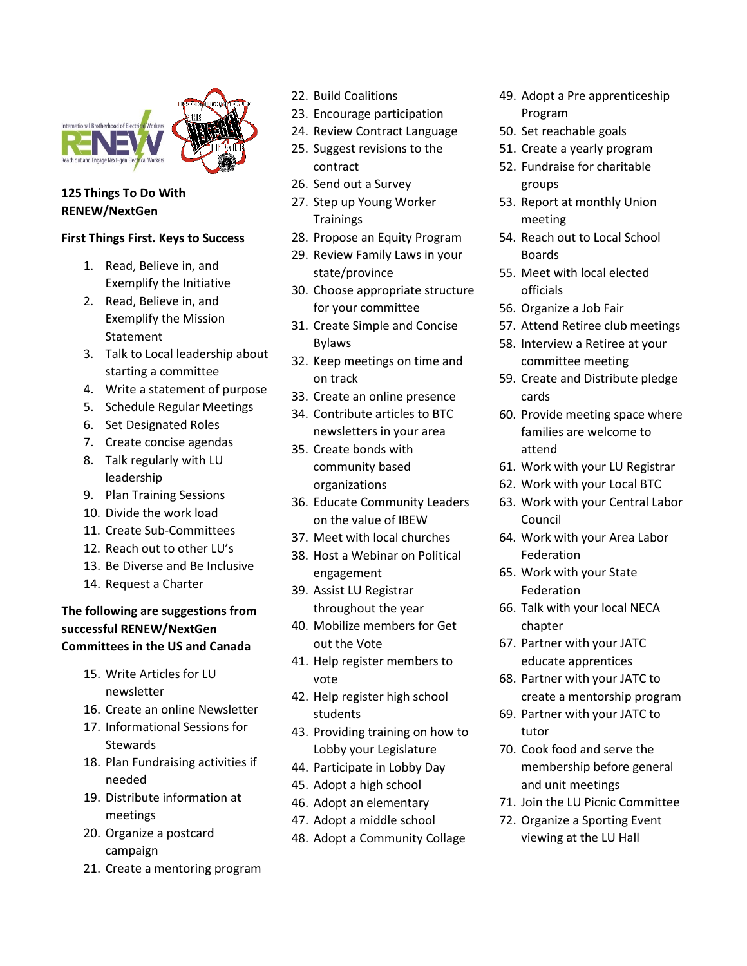

## **125 Things To Do With RENEW/NextGen**

## **First Things First. Keys to Success**

- 1. Read, Believe in, and Exemplify the Initiative
- 2. Read, Believe in, and Exemplify the Mission Statement
- 3. Talk to Local leadership about starting a committee
- 4. Write a statement of purpose
- 5. Schedule Regular Meetings
- 6. Set Designated Roles
- 7. Create concise agendas
- 8. Talk regularly with LU leadership
- 9. Plan Training Sessions
- 10. Divide the work load
- 11. Create Sub-Committees
- 12. Reach out to other LU's
- 13. Be Diverse and Be Inclusive
- 14. Request a Charter

## **The following are suggestions from successful RENEW/NextGen Committees in the US and Canada**

- 15. Write Articles for LU newsletter
- 16. Create an online Newsletter
- 17. Informational Sessions for **Stewards**
- 18. Plan Fundraising activities if needed
- 19. Distribute information at meetings
- 20. Organize a postcard campaign
- 21. Create a mentoring program
- 22. Build Coalitions
- 23. Encourage participation
- 24. Review Contract Language
- 25. Suggest revisions to the contract
- 26. Send out a Survey
- 27. Step up Young Worker **Trainings**
- 28. Propose an Equity Program
- 29. Review Family Laws in your state/province
- 30. Choose appropriate structure for your committee
- 31. Create Simple and Concise Bylaws
- 32. Keep meetings on time and on track
- 33. Create an online presence
- 34. Contribute articles to BTC newsletters in your area
- 35. Create bonds with community based organizations
- 36. Educate Community Leaders on the value of IBEW
- 37. Meet with local churches
- 38. Host a Webinar on Political engagement
- 39. Assist LU Registrar throughout the year
- 40. Mobilize members for Get out the Vote
- 41. Help register members to vote
- 42. Help register high school students
- 43. Providing training on how to Lobby your Legislature
- 44. Participate in Lobby Day
- 45. Adopt a high school
- 46. Adopt an elementary
- 47. Adopt a middle school
- 48. Adopt a Community Collage
- 49. Adopt a Pre apprenticeship Program
- 50. Set reachable goals
- 51. Create a yearly program
- 52. Fundraise for charitable groups
- 53. Report at monthly Union meeting
- 54. Reach out to Local School Boards
- 55. Meet with local elected officials
- 56. Organize a Job Fair
- 57. Attend Retiree club meetings
- 58. Interview a Retiree at your committee meeting
- 59. Create and Distribute pledge cards
- 60. Provide meeting space where families are welcome to attend
- 61. Work with your LU Registrar
- 62. Work with your Local BTC
- 63. Work with your Central Labor Council
- 64. Work with your Area Labor Federation
- 65. Work with your State Federation
- 66. Talk with your local NECA chapter
- 67. Partner with your JATC educate apprentices
- 68. Partner with your JATC to create a mentorship program
- 69. Partner with your JATC to tutor
- 70. Cook food and serve the membership before general and unit meetings
- 71. Join the LU Picnic Committee
- 72. Organize a Sporting Event viewing at the LU Hall